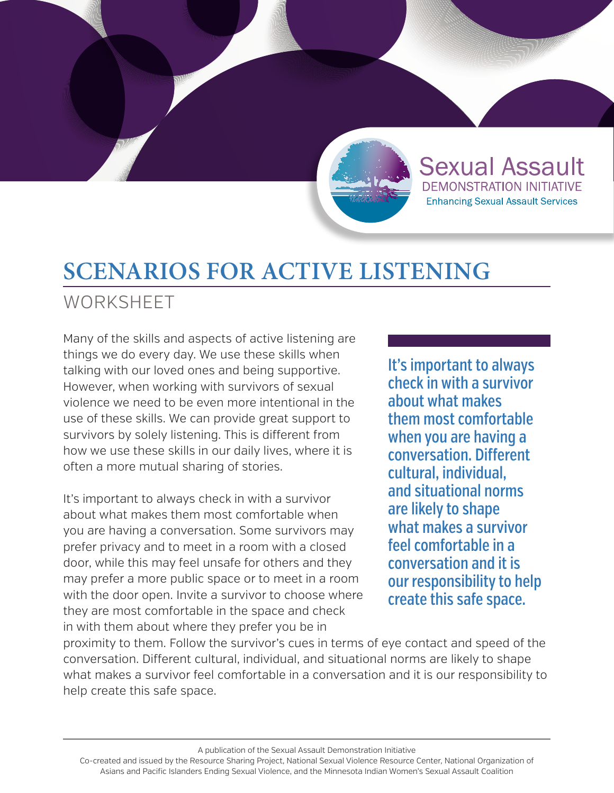

# **SCENARIOS FOR ACTIVE LISTENING**

**WORKSHEET** 

Many of the skills and aspects of active listening are things we do every day. We use these skills when talking with our loved ones and being supportive. However, when working with survivors of sexual violence we need to be even more intentional in the use of these skills. We can provide great support to survivors by solely listening. This is different from how we use these skills in our daily lives, where it is often a more mutual sharing of stories.

It's important to always check in with a survivor about what makes them most comfortable when you are having a conversation. Some survivors may prefer privacy and to meet in a room with a closed door, while this may feel unsafe for others and they may prefer a more public space or to meet in a room with the door open. Invite a survivor to choose where they are most comfortable in the space and check in with them about where they prefer you be in

It's important to always check in with a survivor about what makes them most comfortable when you are having a conversation. Different cultural, individual, and situational norms are likely to shape what makes a survivor feel comfortable in a conversation and it is our responsibility to help create this safe space.

**Sexual Assault** 

DEMONSTRATION INITIATIVE

**Enhancing Sexual Assault Services** 

proximity to them. Follow the survivor's cues in terms of eye contact and speed of the conversation. Different cultural, individual, and situational norms are likely to shape what makes a survivor feel comfortable in a conversation and it is our responsibility to help create this safe space.

A publication of the Sexual Assault Demonstration Initiative

Co-created and issued by the Resource Sharing Project, National Sexual Violence Resource Center, National Organization of Asians and Pacific Islanders Ending Sexual Violence, and the Minnesota Indian Women's Sexual Assault Coalition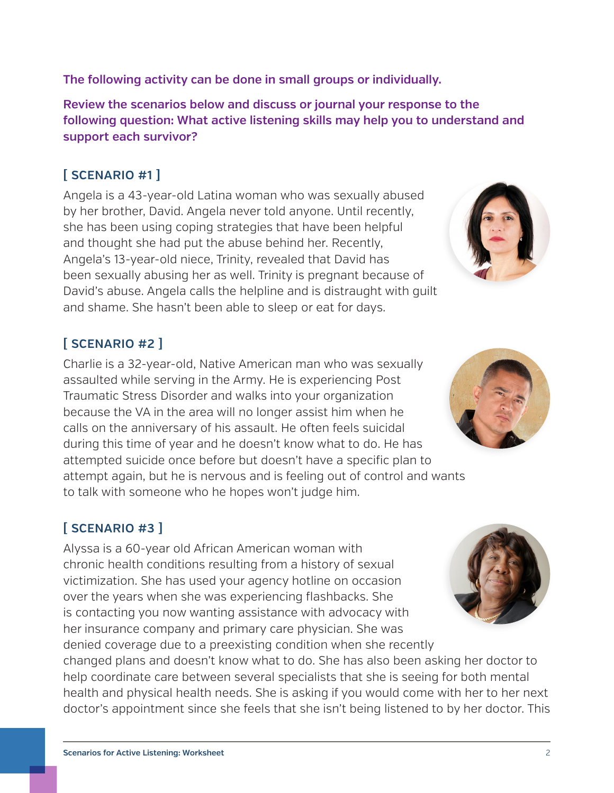**The following activity can be done in small groups or individually.**

**Review the scenarios below and discuss or journal your response to the following question: What active listening skills may help you to understand and support each survivor?**

### **[ SCENARIO #1 ]**

Angela is a 43-year-old Latina woman who was sexually abused by her brother, David. Angela never told anyone. Until recently, she has been using coping strategies that have been helpful and thought she had put the abuse behind her. Recently, Angela's 13-year-old niece, Trinity, revealed that David has been sexually abusing her as well. Trinity is pregnant because of David's abuse. Angela calls the helpline and is distraught with guilt and shame. She hasn't been able to sleep or eat for days.

### **[ SCENARIO #2 ]**

Charlie is a 32-year-old, Native American man who was sexually assaulted while serving in the Army. He is experiencing Post Traumatic Stress Disorder and walks into your organization because the VA in the area will no longer assist him when he calls on the anniversary of his assault. He often feels suicidal during this time of year and he doesn't know what to do. He has attempted suicide once before but doesn't have a specific plan to attempt again, but he is nervous and is feeling out of control and wants to talk with someone who he hopes won't judge him.

# **[ SCENARIO #3 ]**

Alyssa is a 60-year old African American woman with chronic health conditions resulting from a history of sexual victimization. She has used your agency hotline on occasion over the years when she was experiencing flashbacks. She is contacting you now wanting assistance with advocacy with her insurance company and primary care physician. She was denied coverage due to a preexisting condition when she recently

changed plans and doesn't know what to do. She has also been asking her doctor to help coordinate care between several specialists that she is seeing for both mental health and physical health needs. She is asking if you would come with her to her next doctor's appointment since she feels that she isn't being listened to by her doctor. This